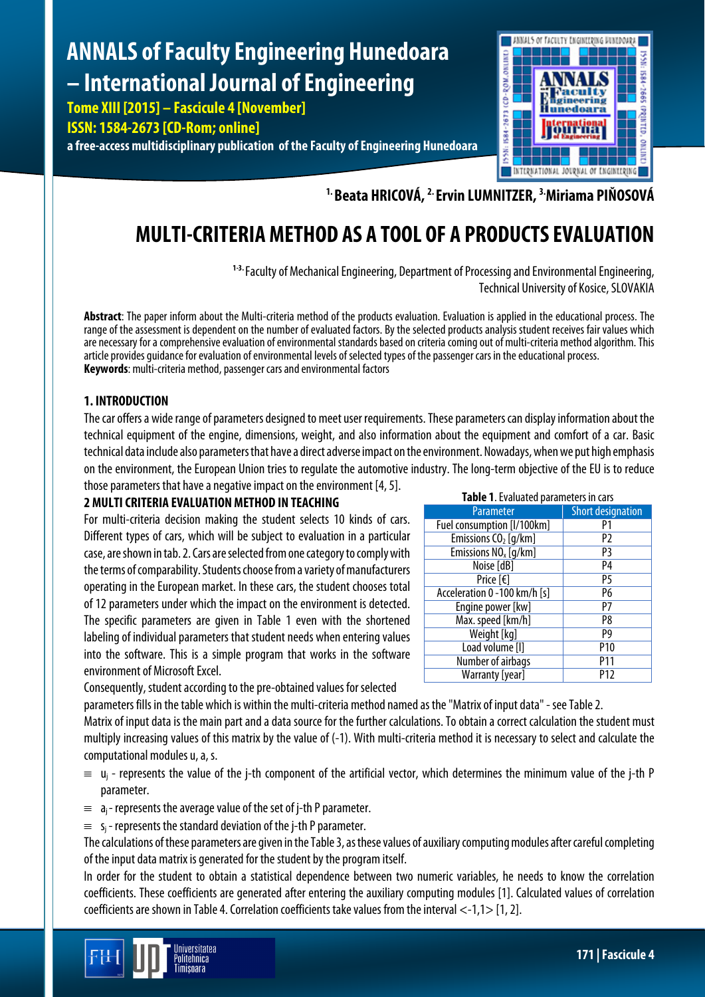# **ANNALS of Faculty Engineering Hunedoara – International Journal of Engineering**

**Tome XIII [2015] – Fascicule 4 [November] ISSN: 1584-2673 [CD-Rom; online]**

**a free-access multidisciplinary publication of the Faculty of Engineering Hunedoara**



**1. Beata HRICOVÁ, 2. Ervin LUMNITZER, 3. Miriama PIŇOSOVÁ**

## **MULTI-CRITERIA METHOD AS A TOOL OF A PRODUCTS EVALUATION**

**1-3.** Faculty of Mechanical Engineering, Department of Processing and Environmental Engineering, Technical University of Kosice, SLOVAKIA

**Abstract**: The paper inform about the Multi-criteria method of the products evaluation. Evaluation is applied in the educational process. The range of the assessment is dependent on the number of evaluated factors. By the selected products analysis student receives fair values which are necessary for a comprehensive evaluation of environmental standards based on criteria coming out of multi-criteria method algorithm. This article provides guidance for evaluation of environmental levels of selected types of the passenger cars in the educational process. **Keywords**: multi-criteria method, passenger cars and environmental factors

## **1. INTRODUCTION**

The car offers a wide range of parameters designed to meet user requirements. These parameters can display information about the technical equipment of the engine, dimensions, weight, and also information about the equipment and comfort of a car. Basic technical data include also parameters that have a directadverse impact on the environment. Nowadays, when we put high emphasis on the environment, the European Union tries to regulate the automotive industry. The long-term objective of the EU is to reduce

those parameters that have a negative impact on the environment [4, 5].

## **2 MULTI CRITERIA EVALUATION METHOD IN TEACHING**

For multi-criteria decision making the student selects 10 kinds of cars. Different types of cars, which will be subject to evaluation in a particular case, are shown in tab. 2. Cars are selected from one category to comply with the terms of comparability. Students choose from a variety of manufacturers operating in the European market. In these cars, the student chooses total of 12 parameters under which the impact on the environment is detected. The specific parameters are given in Table 1 even with the shortened labeling of individual parameters that student needs when entering values into the software. This is a simple program that works in the software environment of Microsoft Excel.

| Table 1. Evaluated parameters in cars |                          |  |  |  |  |  |  |  |  |
|---------------------------------------|--------------------------|--|--|--|--|--|--|--|--|
| Parameter                             | <b>Short designation</b> |  |  |  |  |  |  |  |  |
| Fuel consumption [I/100km]            | P1                       |  |  |  |  |  |  |  |  |
| Emissions $CO2$ [g/km]                | P2                       |  |  |  |  |  |  |  |  |
| Emissions NO <sub>x</sub> [q/km]      | P3                       |  |  |  |  |  |  |  |  |
| Noise [dB]                            | P4                       |  |  |  |  |  |  |  |  |
| Price [€]                             | P5                       |  |  |  |  |  |  |  |  |
| Acceleration 0 -100 km/h [s]          | P6                       |  |  |  |  |  |  |  |  |
| Engine power [kw]                     | P7                       |  |  |  |  |  |  |  |  |
| Max. speed [km/h]                     | P8                       |  |  |  |  |  |  |  |  |
| Weight [kg]                           | P9                       |  |  |  |  |  |  |  |  |
| Load volume [I]                       | P <sub>10</sub>          |  |  |  |  |  |  |  |  |
| <b>Number of airbags</b>              | P11                      |  |  |  |  |  |  |  |  |
| Warranty [year]                       | P12                      |  |  |  |  |  |  |  |  |

Consequently, student according to the pre-obtained values for selected

parameters fills in the table which is within the multi-criteria method named as the "Matrix of input data" - see Table2.

Matrix of input data is the main part and a data source for the further calculations. To obtain a correct calculation the student must multiply increasing values of this matrix by the value of (-1). With multi-criteria method it is necessary to select and calculate the computational modules u, a, s.

- $\equiv u_i$  represents the value of the j-th component of the artificial vector, which determines the minimum value of the j-th P parameter.
- $\equiv$  a<sub>i</sub>-represents the average value of the set of j-th P parameter.
- $\equiv$  s<sub>i</sub> represents the standard deviation of the j-th P parameter.

The calculations of these parameters are given in the Table3, as these values of auxiliary computing modules after careful completing of the input data matrix is generated for the student by the program itself.

In order for the student to obtain a statistical dependence between two numeric variables, he needs to know the correlation coefficients. These coefficients are generated after entering the auxiliary computing modules [1]. Calculated values of correlation coefficients are shown in Table 4. Correlation coefficients take values from the interval <-1,1> [1, 2].

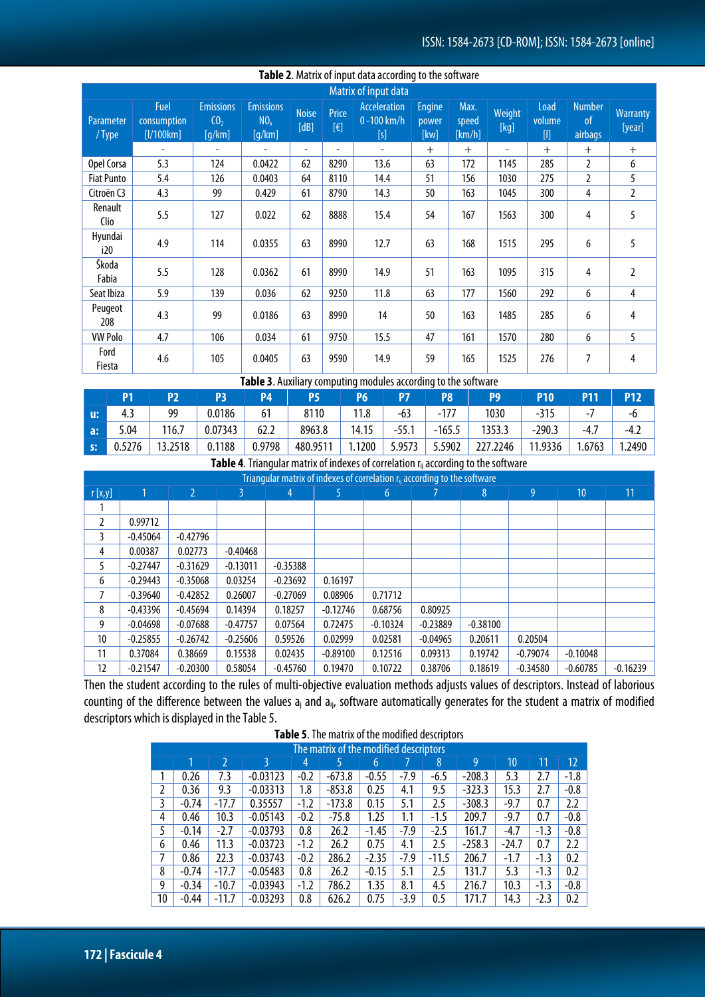|                     | Table 2. Matrix of input data according to the software |                                               |                                               |                      |                                |                                          |                                |                         |                |                                                                                                                                                                                   |                                     |                           |  |
|---------------------|---------------------------------------------------------|-----------------------------------------------|-----------------------------------------------|----------------------|--------------------------------|------------------------------------------|--------------------------------|-------------------------|----------------|-----------------------------------------------------------------------------------------------------------------------------------------------------------------------------------|-------------------------------------|---------------------------|--|
|                     | Matrix of input data                                    |                                               |                                               |                      |                                |                                          |                                |                         |                |                                                                                                                                                                                   |                                     |                           |  |
| Parameter<br>/ Type | <b>Fuel</b><br>consumption<br>[1/100km]                 | <b>Emissions</b><br>CO <sub>2</sub><br>[q/km] | <b>Emissions</b><br>NO <sub>x</sub><br>[q/km] | <b>Noise</b><br>[dB] | Price<br>$[\mathbf{\epsilon}]$ | <b>Acceleration</b><br>0-100 km/h<br>[s] | <b>Engine</b><br>power<br>[kw] | Max.<br>speed<br>[km/h] | Weight<br>[kg] | Load<br>volume<br>$[] \centering \includegraphics[width=0.47\textwidth]{images/TrDiM1.png} \caption{The 3D (blue) and 4D (blue) are shown in the left panel.} \label{TrDiM1.png}$ | <b>Number</b><br>$\circ$<br>airbags | <b>Warranty</b><br>[year] |  |
|                     | $\overline{\phantom{a}}$                                |                                               |                                               | ٠                    | ÷.                             | ٠                                        | $+$                            | $+$                     | ÷.             | $+$                                                                                                                                                                               | $^{+}$                              | $+$                       |  |
| Opel Corsa          | 5.3                                                     | 124                                           | 0.0422                                        | 62                   | 8290                           | 13.6                                     | 63                             | 172                     | 1145           | 285                                                                                                                                                                               | 2                                   | 6                         |  |
| <b>Fiat Punto</b>   | 5.4                                                     | 126                                           | 0.0403                                        | 64                   | 8110                           | 14.4                                     | 51                             | 156                     | 1030           | 275                                                                                                                                                                               | $\overline{2}$                      | 5                         |  |
| Citroën C3          | 4.3                                                     | 99                                            | 0.429                                         | 61                   | 8790                           | 14.3                                     | 50                             | 163                     | 1045           | 300                                                                                                                                                                               | 4                                   | $\overline{2}$            |  |
| Renault<br>Clio     | 5.5                                                     | 127                                           | 0.022                                         | 62                   | 8888                           | 15.4                                     | 54                             | 167                     | 1563           | 300                                                                                                                                                                               | 4                                   | 5                         |  |
| Hyundai<br>i20      | 4.9                                                     | 114                                           | 0.0355                                        | 63                   | 8990                           | 12.7                                     | 63                             | 168                     | 1515           | 295                                                                                                                                                                               | 6                                   | 5                         |  |
| Škoda<br>Fabia      | 5.5                                                     | 128                                           | 0.0362                                        | 61                   | 8990                           | 14.9                                     | 51                             | 163                     | 1095           | 315                                                                                                                                                                               | 4                                   | $\overline{2}$            |  |
| Seat Ibiza          | 5.9                                                     | 139                                           | 0.036                                         | 62                   | 9250                           | 11.8                                     | 63                             | 177                     | 1560           | 292                                                                                                                                                                               | 6                                   | $\overline{4}$            |  |
| Peugeot<br>208      | 4.3                                                     | 99                                            | 0.0186                                        | 63                   | 8990                           | 14                                       | 50                             | 163                     | 1485           | 285                                                                                                                                                                               | 6                                   | 4                         |  |
| <b>VW Polo</b>      | 4.7                                                     | 106                                           | 0.034                                         | 61                   | 9750                           | 15.5                                     | 47                             | 161                     | 1570           | 280                                                                                                                                                                               | 6                                   | 5                         |  |
| Ford<br>Fiesta      | 4.6                                                     | 105                                           | 0.0405                                        | 63                   | 9590                           | 14.9                                     | 59                             | 165                     | 1525           | 276                                                                                                                                                                               | 7                                   | 4                         |  |

#### **Table 3**. Auxiliary computing modules according to the software

|            |      | P2      | P3      | <b>P4</b> | P5       |        |         | P <sub>8</sub> | P9       | P10      |        | P12    |
|------------|------|---------|---------|-----------|----------|--------|---------|----------------|----------|----------|--------|--------|
| u:         |      | 99      | 0.0186  | 61        | 8110     |        | $-63$   | $-177$         | 1030     | -315     |        | -6     |
| a:         | 5.04 | 116.7   | 0.07343 | 62.2      | 8963.8   | 14.15  | $-55.1$ | $-165.5$       | 1353.3   | $-290.3$ | -4.,   | ـہ.−4  |
| $\vert$ s: |      | 13.2518 | 0.1188  | 0.9798    | 480.9511 | 1.1200 | 5.9573  | 5.5902         | 227.2246 | 11.9336  | 1.6763 | 1.2490 |

**Table 4**. Triangular matrix of indexes of correlation r<sub>ij</sub> according to the software

|        | Triangular matrix of indexes of correlation r <sub>ii</sub> according to the software |                |            |            |            |            |            |            |            |            |            |  |  |
|--------|---------------------------------------------------------------------------------------|----------------|------------|------------|------------|------------|------------|------------|------------|------------|------------|--|--|
| r[x,y] |                                                                                       | $\overline{2}$ | 3          | 4          |            | 6          |            | 8          | 9          | 10         | 11         |  |  |
|        |                                                                                       |                |            |            |            |            |            |            |            |            |            |  |  |
| 2      | 0.99712                                                                               |                |            |            |            |            |            |            |            |            |            |  |  |
| 3      | $-0.45064$                                                                            | $-0.42796$     |            |            |            |            |            |            |            |            |            |  |  |
| 4      | 0.00387                                                                               | 0.02773        | $-0.40468$ |            |            |            |            |            |            |            |            |  |  |
| 5      | $-0.27447$                                                                            | $-0.31629$     | $-0.13011$ | $-0.35388$ |            |            |            |            |            |            |            |  |  |
| 6      | $-0.29443$                                                                            | $-0.35068$     | 0.03254    | $-0.23692$ | 0.16197    |            |            |            |            |            |            |  |  |
|        | $-0.39640$                                                                            | $-0.42852$     | 0.26007    | $-0.27069$ | 0.08906    | 0.71712    |            |            |            |            |            |  |  |
| 8      | $-0.43396$                                                                            | $-0.45694$     | 0.14394    | 0.18257    | $-0.12746$ | 0.68756    | 0.80925    |            |            |            |            |  |  |
| 9      | $-0.04698$                                                                            | $-0.07688$     | $-0.47757$ | 0.07564    | 0.72475    | $-0.10324$ | $-0.23889$ | $-0.38100$ |            |            |            |  |  |
| 10     | $-0.25855$                                                                            | $-0.26742$     | $-0.25606$ | 0.59526    | 0.02999    | 0.02581    | $-0.04965$ | 0.20611    | 0.20504    |            |            |  |  |
| 11     | 0.37084                                                                               | 0.38669        | 0.15538    | 0.02435    | $-0.89100$ | 0.12516    | 0.09313    | 0.19742    | $-0.79074$ | $-0.10048$ |            |  |  |
| 12     | $-0.21547$                                                                            | $-0.20300$     | 0.58054    | $-0.45760$ | 0.19470    | 0.10722    | 0.38706    | 0.18619    | $-0.34580$ | $-0.60785$ | $-0.16239$ |  |  |

Then the student according to the rules of multi-objective evaluation methods adjusts values of descriptors. Instead of laborious counting of the difference between the values  $a_j$  and  $a_{ij}$ , software automatically generates for the student a matrix of modified descriptors which is displayed in the Table 5.

|    | The matrix of the modified descriptors |         |            |        |          |         |        |         |          |         |        |                   |
|----|----------------------------------------|---------|------------|--------|----------|---------|--------|---------|----------|---------|--------|-------------------|
|    |                                        |         | 3.         | 4      | 5        | 6       |        | 8       | 9        | 10      | 11     | $12 \overline{ }$ |
|    | 0.26                                   | 7.3     | $-0.03123$ | $-0.2$ | $-673.8$ | $-0.55$ | $-7.9$ | $-6.5$  | $-208.3$ | 5.3     | 2.7    | $-1.8$            |
| 2  | 0.36                                   | 9.3     | $-0.03313$ | 1.8    | $-853.8$ | 0.25    | 4.1    | 9.5     | $-323.3$ | 15.3    | 2.7    | $-0.8$            |
| 3  | $-0.74$                                | $-17.7$ | 0.35557    | $-1.2$ | $-173.8$ | 0.15    | 5.1    | 2.5     | $-308.3$ | $-9.7$  | 0.7    | 2.2               |
| 4  | 0.46                                   | 10.3    | $-0.05143$ | $-0.2$ | $-75.8$  | 1.25    | 1.1    | -1.5    | 209.7    | $-9.7$  | 0.7    | $-0.8$            |
| 5  | $-0.14$                                | $-2.7$  | $-0.03793$ | 0.8    | 26.2     | $-1.45$ | $-7.9$ | $-2.5$  | 161.7    | -4.7    | $-1.3$ | $-0.8$            |
| 6  | 0.46                                   | 11.3    | $-0.03723$ | $-1.2$ | 26.2     | 0.75    | 4.1    | 2.5     | $-258.3$ | $-24.7$ | 0.7    | 2.2               |
| 7  | 0.86                                   | 22.3    | $-0.03743$ | $-0.2$ | 286.2    | $-2.35$ | $-7.9$ | $-11.5$ | 206.7    | $-1.7$  | $-1.3$ | 0.2               |
| 8  | $-0.74$                                | $-17.7$ | $-0.05483$ | 0.8    | 26.2     | $-0.15$ | 5.1    | 2.5     | 131.7    | 5.3     | $-1.3$ | 0.2               |
| 9  | $-0.34$                                | $-10.7$ | $-0.03943$ | $-1.2$ | 786.2    | 1.35    | 8.1    | 4.5     | 216.7    | 10.3    | $-1.3$ | $-0.8$            |
| 10 | $-0.44$                                | $-11.7$ | $-0.03293$ | 0.8    | 626.2    | 0.75    | $-3.9$ | 0.5     | 171.7    | 14.3    | $-2.3$ | 0.2               |

## **Table 5**. The matrix of the modified descriptors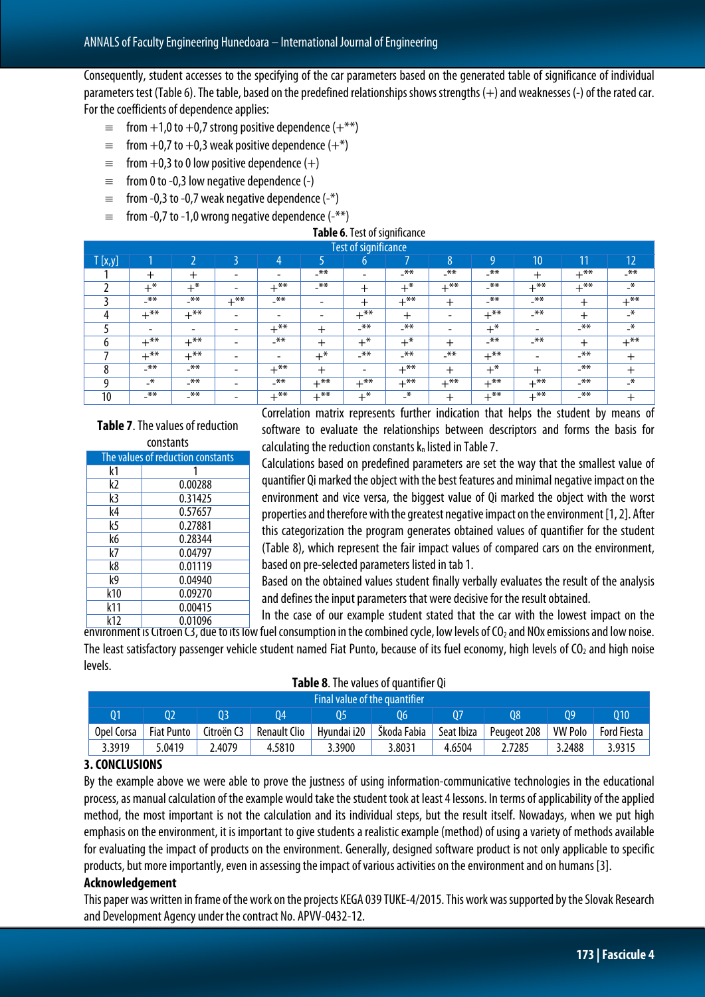Consequently, student accesses to the specifying of the car parameters based on the generated table of significance of individual parameters test (Table 6). The table, based on the predefined relationships shows strengths  $(+)$  and weaknesses  $(-)$  of the rated car. For the coefficients of dependence applies:

- $\equiv$  from +1,0 to +0,7 strong positive dependence (+\*\*)
- $\equiv$  from +0,7 to +0,3 weak positive dependence (+\*)
- $\equiv$  from +0,3 to 0 low positive dependence (+)
- $\equiv$  from 0 to -0,3 low negative dependence (-)
- $\equiv$  from -0,3 to -0,7 weak negative dependence (-\*)
- $\equiv$  from -0,7 to -1,0 wrong negative dependence (-\*\*)

#### **Table 6**. Test of significance

|               | <b>Test of significance</b> |                          |                          |                          |                          |          |        |                          |        |                          |        |              |
|---------------|-----------------------------|--------------------------|--------------------------|--------------------------|--------------------------|----------|--------|--------------------------|--------|--------------------------|--------|--------------|
| T[x,y]        |                             |                          |                          | 4                        |                          | b        |        | 8                        | O      | 10                       | 11     | 12           |
|               | $\pm$                       | $\pm$                    | $\overline{\phantom{a}}$ | $\overline{\phantom{a}}$ | $***$                    |          | $***$  | $***$                    | $-x$ * | $\pm$                    | $+$ ** | $***$        |
|               | $+^*$                       | $+\infty$                | $\overline{\phantom{0}}$ | $+$ **                   | $***$                    | $^{+}$   | $+^*$  | $+^{**}$                 | $-x$   | $+$ **                   | $+$ ** | $\mathbf{H}$ |
|               | $-\overline{***}$           | $***$                    | $+$ **                   | $***$                    | $\overline{\phantom{a}}$ | $^{+}$   | $+***$ | $^+$                     | $-x$ * | $***$                    | $\pm$  | $+***$       |
| Д             | $+***$                      | $+$ **                   | $\overline{\phantom{a}}$ | $\overline{\phantom{a}}$ | -                        | $+***$   | $\pm$  | $\overline{\phantom{0}}$ | $+$ ** | $***$                    | $\pm$  | $\mathbf{H}$ |
|               | $\overline{\phantom{0}}$    | $\overline{\phantom{0}}$ | $\overline{\phantom{0}}$ | $+$ **                   | ┿                        | $-$ **   | $***$  | $\overline{\phantom{0}}$ | $+^*$  | $\overline{\phantom{0}}$ | $***$  | $\mathbf{H}$ |
| h             | $+$ **                      | $+$ **                   | -                        | $***$                    | ┿                        | $+^*$    | $+^*$  | ┿                        | $-x$ * | $-\overline{***}$        | $\pm$  | $+$ **       |
|               | $+$ **                      | $+$ **                   | -                        | $\overline{\phantom{a}}$ | $+^*$                    | $-x$     | $***$  | $***$                    | $+$ ** | $\overline{\phantom{0}}$ | $***$  | $\pm$        |
| $\Omega$<br>Ω | $***$                       | $***$                    | $\overline{\phantom{0}}$ | $+$ **                   | $\pm$                    | -        | $+$ ** | $^+$                     | $+^*$  | $\ddot{}$                | $***$  | ÷            |
| a             | $\mathbf{H}$                | $**$                     | -                        | $***$                    | $+$ **                   | $+^{**}$ | $+$ ** | $+$ **                   | $+***$ | $+$ **                   | $***$  | $-\star$     |
| 10            | $***$                       | $***$                    | $\overline{\phantom{a}}$ | $+***$                   | $+$ **                   | $+^*$    | $-$ *  | $^{+}$                   | $+***$ | $+$ **                   | $***$  | $\pm$        |

#### **Table 7**. The values of reduction constants

| ινπνιαπιν                         |         |  |  |  |  |  |  |  |  |
|-----------------------------------|---------|--|--|--|--|--|--|--|--|
| The values of reduction constants |         |  |  |  |  |  |  |  |  |
| k1                                |         |  |  |  |  |  |  |  |  |
| k2                                | 0.00288 |  |  |  |  |  |  |  |  |
| k3                                | 0.31425 |  |  |  |  |  |  |  |  |
| k4                                | 0.57657 |  |  |  |  |  |  |  |  |
| k5                                | 0.27881 |  |  |  |  |  |  |  |  |
| k6                                | 0.28344 |  |  |  |  |  |  |  |  |
| k7                                | 0.04797 |  |  |  |  |  |  |  |  |
| k8                                | 0.01119 |  |  |  |  |  |  |  |  |
| k9                                | 0.04940 |  |  |  |  |  |  |  |  |
| k10                               | 0.09270 |  |  |  |  |  |  |  |  |
| k11                               | 0.00415 |  |  |  |  |  |  |  |  |
| <b>1,17</b>                       | ሰ ሰ1ሰሰረ |  |  |  |  |  |  |  |  |

Correlation matrix represents further indication that helps the student by means of software to evaluate the relationships between descriptors and forms the basis for calculating the reduction constants  $k_n$  listed in Table 7.

Calculations based on predefined parameters are set the way that the smallest value of quantifier Qi marked the object with the best features and minimal negative impact on the environment and vice versa, the biggest value of Qi marked the object with the worst properties and therefore with the greatest negative impact on the environment [1, 2]. After this categorization the program generates obtained values of quantifier for the student (Table 8), which represent the fair impact values of compared cars on the environment, based on pre-selected parameters listed in tab 1.

Based on the obtained values student finally verbally evaluates the result of the analysis and defines the input parameters that were decisive for the result obtained.

In the case of our example student stated that the car with the lowest impact on the environment is Citroen C3, due to its low fuel consumption in the combined cycle, low levels of CO<sub>2</sub> and NOx emissions and low noise. The least satisfactory passenger vehicle student named Fiat Punto, because of its fuel economy, high levels of  $CO<sub>2</sub>$  and high noise levels. k12 0.01096

|  | Table 8. The values of quantifier Qi |  |  |  |
|--|--------------------------------------|--|--|--|
|--|--------------------------------------|--|--|--|

|            | <b>Final value of the quantifier</b> |            |                     |             |             |            |             |                |             |  |  |  |
|------------|--------------------------------------|------------|---------------------|-------------|-------------|------------|-------------|----------------|-------------|--|--|--|
|            | 02                                   | 03         | 04                  |             | 06          | 07         | 08          | 09             | 010         |  |  |  |
| Opel Corsa | <b>Fiat Punto</b>                    | Citroën C3 | <b>Renault Clio</b> | Hyundai i20 | Škoda Fabia | Seat Ibiza | Peugeot 208 | <b>VW Polo</b> | Ford Fiesta |  |  |  |
| 3.3919     | 5.0419                               | 2.4079     | 4.5810              | 3900.د      | 8031.،      | 4.6504     | 2.7285      | 3.2488         | 3.9315      |  |  |  |

## **3.CONCLUSIONS**

By the example above we were able to prove the justness of using information-communicative technologies in the educational process, as manual calculation of the example would take the student took at least 4 lessons. In terms of applicability of the applied method, the most important is not the calculation and its individual steps, but the result itself. Nowadays, when we put high emphasis on the environment, it is important to give students a realistic example (method) of using a variety of methods available for evaluating the impact of products on the environment. Generally, designed software product is not only applicable to specific products, but more importantly, even in assessing the impact of various activities on the environment and on humans [3].

## **Acknowledgement**

This paper was written in frame of the work on the projects KEGA 039 TUKE-4/2015. This work was supported by the Slovak Research and Development Agency under the contract No. APVV-0432-12.